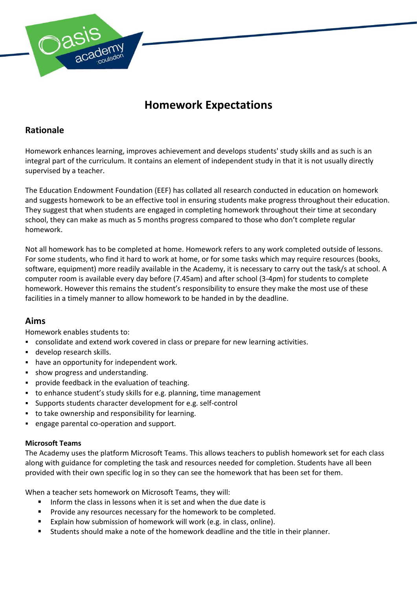

# **Homework Expectations**

# **Rationale**

Homework enhances learning, improves achievement and develops students' study skills and as such is an integral part of the curriculum. It contains an element of independent study in that it is not usually directly supervised by a teacher.

The Education Endowment Foundation (EEF) has collated all research conducted in education on homework and suggests homework to be an effective tool in ensuring students make progress throughout their education. They suggest that when students are engaged in completing homework throughout their time at secondary school, they can make as much as 5 months progress compared to those who don't complete regular homework.

Not all homework has to be completed at home. Homework refers to any work completed outside of lessons. For some students, who find it hard to work at home, or for some tasks which may require resources (books, software, equipment) more readily available in the Academy, it is necessary to carry out the task/s at school. A computer room is available every day before (7.45am) and after school (3-4pm) for students to complete homework. However this remains the student's responsibility to ensure they make the most use of these facilities in a timely manner to allow homework to be handed in by the deadline.

## **Aims**

Homework enables students to:

- consolidate and extend work covered in class or prepare for new learning activities.
- develop research skills.
- have an opportunity for independent work.
- show progress and understanding.
- provide feedback in the evaluation of teaching.
- to enhance student's study skills for e.g. planning, time management
- Supports students character development for e.g. self-control
- to take ownership and responsibility for learning.
- engage parental co-operation and support.

#### **Microsoft Teams**

The Academy uses the platform Microsoft Teams. This allows teachers to publish homework set for each class along with guidance for completing the task and resources needed for completion. Students have all been provided with their own specific log in so they can see the homework that has been set for them.

When a teacher sets homework on Microsoft Teams, they will:

- Inform the class in lessons when it is set and when the due date is
- **Provide any resources necessary for the homework to be completed.**
- Explain how submission of homework will work (e.g. in class, online).
- Students should make a note of the homework deadline and the title in their planner.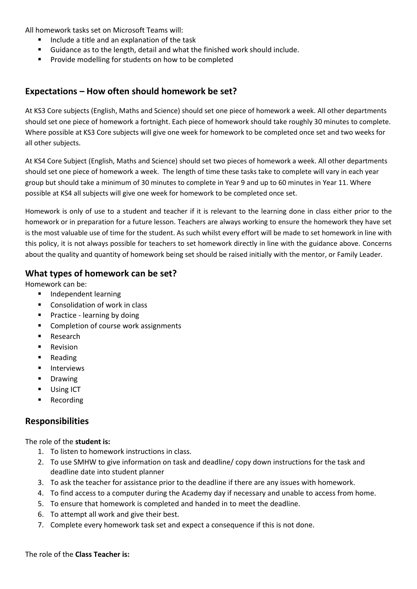All homework tasks set on Microsoft Teams will:

- Include a title and an explanation of the task
- Guidance as to the length, detail and what the finished work should include.
- **Provide modelling for students on how to be completed**

## **Expectations – How often should homework be set?**

At KS3 Core subjects (English, Maths and Science) should set one piece of homework a week. All other departments should set one piece of homework a fortnight. Each piece of homework should take roughly 30 minutes to complete. Where possible at KS3 Core subjects will give one week for homework to be completed once set and two weeks for all other subjects.

At KS4 Core Subject (English, Maths and Science) should set two pieces of homework a week. All other departments should set one piece of homework a week. The length of time these tasks take to complete will vary in each year group but should take a minimum of 30 minutes to complete in Year 9 and up to 60 minutes in Year 11. Where possible at KS4 all subjects will give one week for homework to be completed once set.

Homework is only of use to a student and teacher if it is relevant to the learning done in class either prior to the homework or in preparation for a future lesson. Teachers are always working to ensure the homework they have set is the most valuable use of time for the student. As such whilst every effort will be made to set homework in line with this policy, it is not always possible for teachers to set homework directly in line with the guidance above. Concerns about the quality and quantity of homework being set should be raised initially with the mentor, or Family Leader.

#### **What types of homework can be set?**

Homework can be:

- Independent learning
- Consolidation of work in class
- **Practice learning by doing**
- Completion of course work assignments
- **Research**
- **Revision**
- Reading
- **Interviews**
- Drawing
- **Using ICT**
- **Recording**

## **Responsibilities**

The role of the **student is:** 

- 1. To listen to homework instructions in class.
- 2. To use SMHW to give information on task and deadline/ copy down instructions for the task and deadline date into student planner
- 3. To ask the teacher for assistance prior to the deadline if there are any issues with homework.
- 4. To find access to a computer during the Academy day if necessary and unable to access from home.
- 5. To ensure that homework is completed and handed in to meet the deadline.
- 6. To attempt all work and give their best.
- 7. Complete every homework task set and expect a consequence if this is not done.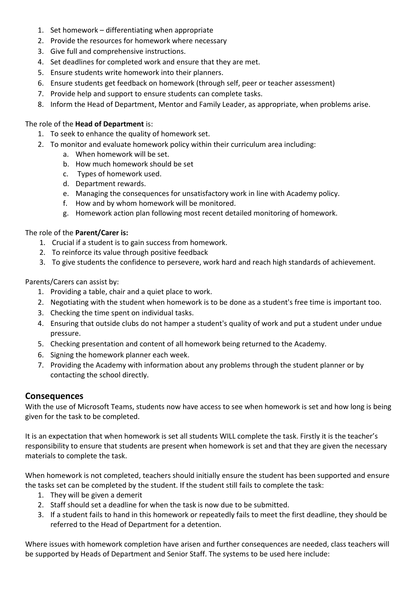- 1. Set homework differentiating when appropriate
- 2. Provide the resources for homework where necessary
- 3. Give full and comprehensive instructions.
- 4. Set deadlines for completed work and ensure that they are met.
- 5. Ensure students write homework into their planners.
- 6. Ensure students get feedback on homework (through self, peer or teacher assessment)
- 7. Provide help and support to ensure students can complete tasks.
- 8. Inform the Head of Department, Mentor and Family Leader, as appropriate, when problems arise.

#### The role of the **Head of Department** is:

- 1. To seek to enhance the quality of homework set.
- 2. To monitor and evaluate homework policy within their curriculum area including:
	- a. When homework will be set.
	- b. How much homework should be set
	- c. Types of homework used.
	- d. Department rewards.
	- e. Managing the consequences for unsatisfactory work in line with Academy policy.
	- f. How and by whom homework will be monitored.
	- g. Homework action plan following most recent detailed monitoring of homework.

#### The role of the **Parent/Carer is:**

- 1. Crucial if a student is to gain success from homework.
- 2. To reinforce its value through positive feedback
- 3. To give students the confidence to persevere, work hard and reach high standards of achievement.

#### Parents/Carers can assist by:

- 1. Providing a table, chair and a quiet place to work.
- 2. Negotiating with the student when homework is to be done as a student's free time is important too.
- 3. Checking the time spent on individual tasks.
- 4. Ensuring that outside clubs do not hamper a student's quality of work and put a student under undue pressure.
- 5. Checking presentation and content of all homework being returned to the Academy.
- 6. Signing the homework planner each week.
- 7. Providing the Academy with information about any problems through the student planner or by contacting the school directly.

#### **Consequences**

With the use of Microsoft Teams, students now have access to see when homework is set and how long is being given for the task to be completed.

It is an expectation that when homework is set all students WILL complete the task. Firstly it is the teacher's responsibility to ensure that students are present when homework is set and that they are given the necessary materials to complete the task.

When homework is not completed, teachers should initially ensure the student has been supported and ensure the tasks set can be completed by the student. If the student still fails to complete the task:

- 1. They will be given a demerit
- 2. Staff should set a deadline for when the task is now due to be submitted.
- 3. If a student fails to hand in this homework or repeatedly fails to meet the first deadline, they should be referred to the Head of Department for a detention.

Where issues with homework completion have arisen and further consequences are needed, class teachers will be supported by Heads of Department and Senior Staff. The systems to be used here include: